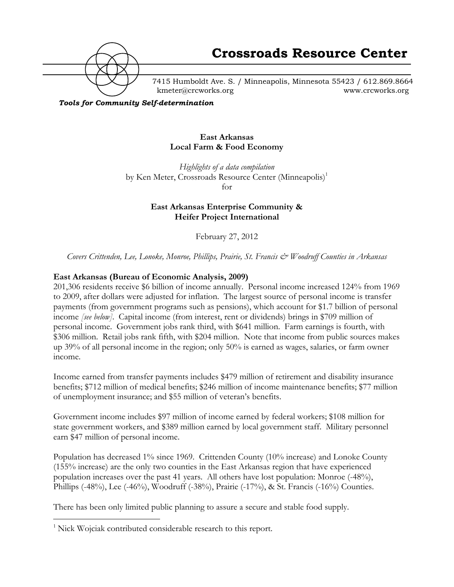

7415 Humboldt Ave. S. / Minneapolis, Minnesota 55423 / 612.869.8664 kmeter@crcworks.org www.crcworks.org

*Tools for Community Self-determination*

### **East Arkansas Local Farm & Food Economy**

*Highlights of a data compilation* by Ken Meter, Crossroads Resource Center (Minneapolis)<sup>1</sup> for

> **East Arkansas Enterprise Community & Heifer Project International**

> > February 27, 2012

*Covers Crittenden, Lee, Lonoke, Monroe, Phillips, Prairie, St. Francis & Woodruff Counties in Arkansas*

### **East Arkansas (Bureau of Economic Analysis, 2009)**

201,306 residents receive \$6 billion of income annually. Personal income increased 124% from 1969 to 2009, after dollars were adjusted for inflation. The largest source of personal income is transfer payments (from government programs such as pensions), which account for \$1.7 billion of personal income *[see below]*. Capital income (from interest, rent or dividends) brings in \$709 million of personal income. Government jobs rank third, with \$641 million. Farm earnings is fourth, with \$306 million. Retail jobs rank fifth, with \$204 million. Note that income from public sources makes up 39% of all personal income in the region; only 50% is earned as wages, salaries, or farm owner income.

Income earned from transfer payments includes \$479 million of retirement and disability insurance benefits; \$712 million of medical benefits; \$246 million of income maintenance benefits; \$77 million of unemployment insurance; and \$55 million of veteran's benefits.

Government income includes \$97 million of income earned by federal workers; \$108 million for state government workers, and \$389 million earned by local government staff. Military personnel earn \$47 million of personal income.

Population has decreased 1% since 1969. Crittenden County (10% increase) and Lonoke County (155% increase) are the only two counties in the East Arkansas region that have experienced population increases over the past 41 years. All others have lost population: Monroe (-48%), Phillips (-48%), Lee (-46%), Woodruff (-38%), Prairie (-17%), & St. Francis (-16%) Counties.

There has been only limited public planning to assure a secure and stable food supply.

 $\frac{1}{1}$  $\frac{1}{1}$  Nick Wojciak contributed considerable research to this report.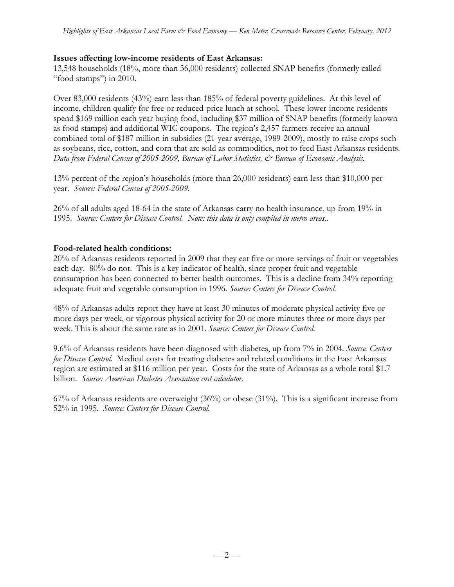### **Issues affecting low-income residents of East Arkansas:**

13,548 households (18%, more than 36,000 residents) collected SNAP benefits (formerly called "food stamps") in 2010.

Over 83,000 residents (43%) earn less than 185% of federal poverty guidelines. At this level of income, children qualify for free or reduced-price lunch at school. These lower-income residents spend \$169 million each year buying food, including \$37 million of SNAP benefits (formerly known as food stamps) and additional WIC coupons. The region's 2,457 farmers receive an annual combined total of \$187 million in subsidies (21-year average, 1989-2009), mostly to raise crops such as soybeans, rice, cotton, and corn that are sold as commodities, not to feed East Arkansas residents. *Data from Federal Census of 2005-2009, Bureau of Labor Statistics, & Bureau of Economic Analysis.*

13% percent of the region's households (more than 26,000 residents) earn less than \$10,000 per year. *Source: Federal Census of 2005-2009.*

26% of all adults aged 18-64 in the state of Arkansas carry no health insurance, up from 19% in 1995. *Source: Centers for Disease Control. Note: this data is only compiled in metro areas..*

## **Food-related health conditions:**

20% of Arkansas residents reported in 2009 that they eat five or more servings of fruit or vegetables each day. 80% do not. This is a key indicator of health, since proper fruit and vegetable consumption has been connected to better health outcomes.This is a decline from 34% reporting adequate fruit and vegetable consumption in 1996. *Source: Centers for Disease Control.*

48% of Arkansas adults report they have at least 30 minutes of moderate physical activity five or more days per week, or vigorous physical activity for 20 or more minutes three or more days per week. This is about the same rate as in 2001. *Source: Centers for Disease Control.*

9.6% of Arkansas residents have been diagnosed with diabetes, up from 7% in 2004. *Source: Centers for Disease Control.* Medical costs for treating diabetes and related conditions in the East Arkansas region are estimated at \$116 million per year. Costs for the state of Arkansas as a whole total \$1.7 billion. *Source: American Diabetes Association cost calculator.*

67% of Arkansas residents are overweight (36%) or obese (31%). This is a significant increase from 52% in 1995. *Source: Centers for Disease Control.*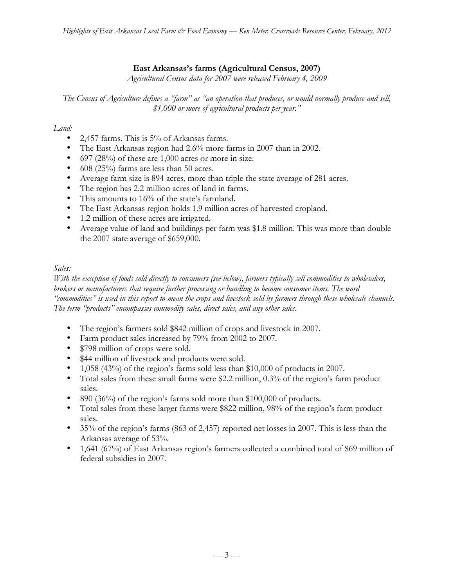# **East Arkansas's farms (Agricultural Census, 2007)**

*Agricultural Census data for 2007 were released February 4, 2009*

*The Census of Agriculture defines a "farm" as "an operation that produces, or would normally produce and sell, \$1,000 or more of agricultural products per year."*

# *Land:*

- 2,457 farms. This is 5% of Arkansas farms.
- The East Arkansas region had 2.6% more farms in 2007 than in 2002.
- 697 (28%) of these are 1,000 acres or more in size.
- 608 (25%) farms are less than 50 acres.
- Average farm size is 894 acres, more than triple the state average of 281 acres.
- The region has 2.2 million acres of land in farms.
- This amounts to 16% of the state's farmland.
- The East Arkansas region holds 1.9 million acres of harvested cropland.
- 1.2 million of these acres are irrigated.
- Average value of land and buildings per farm was \$1.8 million. This was more than double the 2007 state average of \$659,000.

# *Sales:*

*With the exception of foods sold directly to consumers (see below), farmers typically sell commodities to wholesalers, brokers or manufacturers that require further processing or handling to become consumer items. The word "commodities" is used in this report to mean the crops and livestock sold by farmers through these wholesale channels. The term "products" encompasses commodity sales, direct sales, and any other sales.*

- The region's farmers sold \$842 million of crops and livestock in 2007.
- Farm product sales increased by 79% from 2002 to 2007.
- \$798 million of crops were sold.
- \$44 million of livestock and products were sold.
- 1,058 (43%) of the region's farms sold less than \$10,000 of products in 2007.
- Total sales from these small farms were \$2.2 million, 0.3% of the region's farm product sales.
- 890 (36%) of the region's farms sold more than \$100,000 of products.
- Total sales from these larger farms were \$822 million, 98% of the region's farm product sales.
- 35% of the region's farms (863 of 2,457) reported net losses in 2007. This is less than the Arkansas average of 53%.
- 1,641 (67%) of East Arkansas region's farmers collected a combined total of \$69 million of federal subsidies in 2007.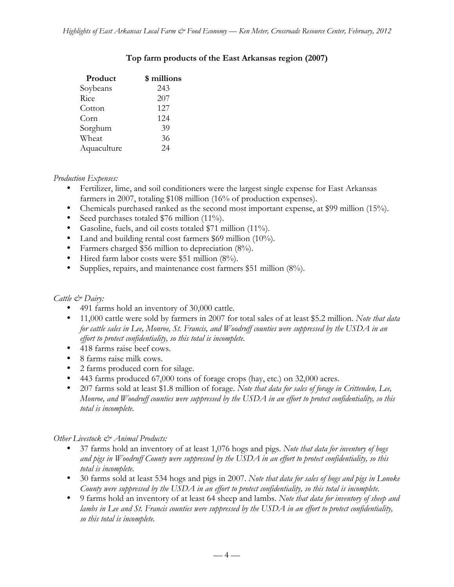| Product     | \$ millions |
|-------------|-------------|
| Soybeans    | 243         |
| Rice        | 207         |
| Cotton      | 127         |
| Corn        | 124         |
| Sorghum     | 39          |
| Wheat       | 36          |
| Aquaculture | 24          |
|             |             |

# **Top farm products of the East Arkansas region (2007)**

# *Production Expenses:*

- Fertilizer, lime, and soil conditioners were the largest single expense for East Arkansas farmers in 2007, totaling \$108 million (16% of production expenses).
- Chemicals purchased ranked as the second most important expense, at \$99 million (15%).
- Seed purchases totaled \$76 million (11%).
- Gasoline, fuels, and oil costs totaled \$71 million (11%).
- Land and building rental cost farmers \$69 million (10%).
- Farmers charged \$56 million to depreciation (8%).
- Hired farm labor costs were \$51 million (8%).
- Supplies, repairs, and maintenance cost farmers \$51 million (8%).

# *Cattle & Dairy:*

- 491 farms hold an inventory of 30,000 cattle.
- 11,000 cattle were sold by farmers in 2007 for total sales of at least \$5.2 million. *Note that data for cattle sales in Lee, Monroe, St. Francis, and Woodruff counties were suppressed by the USDA in an effort to protect confidentiality, so this total is incomplete.*
- 418 farms raise beef cows.
- 8 farms raise milk cows.
- 2 farms produced corn for silage.
- 443 farms produced 67,000 tons of forage crops (hay, etc.) on 32,000 acres.
- 207 farms sold at least \$1.8 million of forage. *Note that data for sales of forage in Crittenden, Lee, Monroe, and Woodruff counties were suppressed by the USDA in an effort to protect confidentiality, so this total is incomplete.*

*Other Livestock & Animal Products:*

- 37 farms hold an inventory of at least 1,076 hogs and pigs. *Note that data for inventory of hogs and pigs in Woodruff County were suppressed by the USDA in an effort to protect confidentiality, so this total is incomplete.*
- 30 farms sold at least 534 hogs and pigs in 2007. *Note that data for sales of hogs and pigs in Lonoke County were suppressed by the USDA in an effort to protect confidentiality, so this total is incomplete.*
- 9 farms hold an inventory of at least 64 sheep and lambs. *Note that data for inventory of sheep and lambs in Lee and St. Francis counties were suppressed by the USDA in an effort to protect confidentiality, so this total is incomplete.*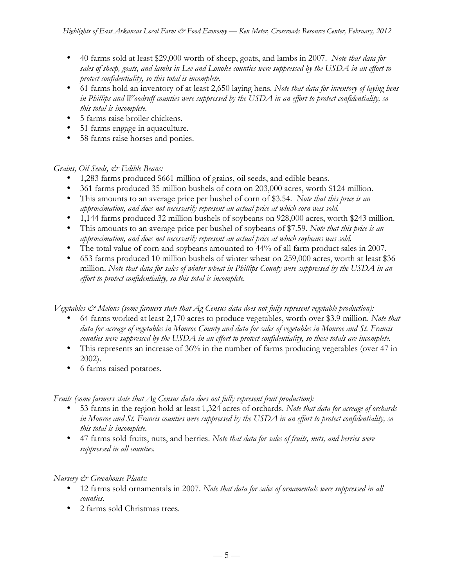- 40 farms sold at least \$29,000 worth of sheep, goats, and lambs in 2007. *Note that data for sales of sheep, goats, and lambs in Lee and Lonoke counties were suppressed by the USDA in an effort to protect confidentiality, so this total is incomplete.*
- 61 farms hold an inventory of at least 2,650 laying hens*. Note that data for inventory of laying hens in Phillips and Woodruff counties were suppressed by the USDA in an effort to protect confidentiality, so this total is incomplete.*
- 5 farms raise broiler chickens.
- 51 farms engage in aquaculture.
- 58 farms raise horses and ponies.

## *Grains, Oil Seeds, & Edible Beans:*

- 1,283 farms produced \$661 million of grains, oil seeds, and edible beans.
- 361 farms produced 35 million bushels of corn on 203,000 acres, worth \$124 million.
- This amounts to an average price per bushel of corn of \$3.54. *Note that this price is an approximation, and does not necessarily represent an actual price at which corn was sold.*
- 1,144 farms produced 32 million bushels of soybeans on 928,000 acres, worth \$243 million.
- This amounts to an average price per bushel of soybeans of \$7.59. *Note that this price is an approximation, and does not necessarily represent an actual price at which soybeans was sold.*
- The total value of corn and soybeans amounted to 44% of all farm product sales in 2007.
- 653 farms produced 10 million bushels of winter wheat on 259,000 acres, worth at least \$36 million. *Note that data for sales of winter wheat in Phillips County were suppressed by the USDA in an effort to protect confidentiality, so this total is incomplete.*

*Vegetables & Melons (some farmers state that Ag Census data does not fully represent vegetable production):*

- 64 farms worked at least 2,170 acres to produce vegetables, worth over \$3.9 million. *Note that data for acreage of vegetables in Monroe County and data for sales of vegetables in Monroe and St. Francis counties were suppressed by the USDA in an effort to protect confidentiality, so these totals are incomplete.*
- This represents an increase of 36% in the number of farms producing vegetables (over 47 in 2002).
- 6 farms raised potatoes*.*

*Fruits (some farmers state that Ag Census data does not fully represent fruit production):*

- 53 farms in the region hold at least 1,324 acres of orchards. *Note that data for acreage of orchards in Monroe and St. Francis counties were suppressed by the USDA in an effort to protect confidentiality, so this total is incomplete.*
- 47 farms sold fruits, nuts, and berries. *Note that data for sales of fruits, nuts, and berries were suppressed in all counties.*

## *Nursery & Greenhouse Plants:*

- 12 farms sold ornamentals in 2007. *Note that data for sales of ornamentals were suppressed in all counties.*
- 2 farms sold Christmas trees.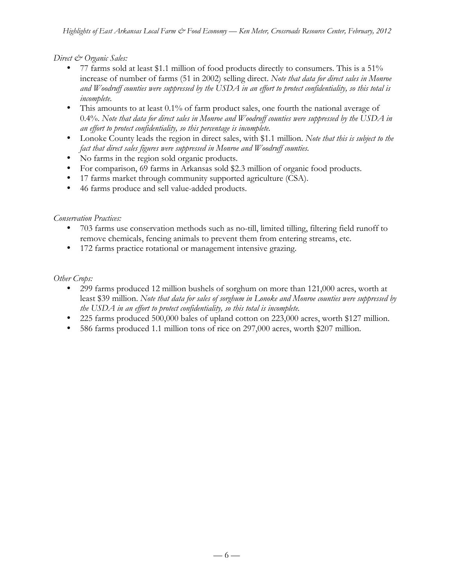*Direct & Organic Sales:*

- 77 farms sold at least \$1.1 million of food products directly to consumers. This is a 51% increase of number of farms (51 in 2002) selling direct. *Note that data for direct sales in Monroe and Woodruff counties were suppressed by the USDA in an effort to protect confidentiality, so this total is incomplete.*
- This amounts to at least 0.1% of farm product sales, one fourth the national average of 0.4%. *Note that data for direct sales in Monroe and Woodruff counties were suppressed by the USDA in an effort to protect confidentiality, so this percentage is incomplete.*
- Lonoke County leads the region in direct sales, with \$1.1 million. *Note that this is subject to the fact that direct sales figures were suppressed in Monroe and Woodruff counties.*
- No farms in the region sold organic products.
- For comparison, 69 farms in Arkansas sold \$2.3 million of organic food products.
- 17 farms market through community supported agriculture (CSA).
- 46 farms produce and sell value-added products.

# *Conservation Practices:*

- 703 farms use conservation methods such as no-till, limited tilling, filtering field runoff to remove chemicals, fencing animals to prevent them from entering streams, etc.
- 172 farms practice rotational or management intensive grazing.

# *Other Crops:*

- 299 farms produced 12 million bushels of sorghum on more than 121,000 acres, worth at least \$39 million. *Note that data for sales of sorghum in Lonoke and Monroe counties were suppressed by the USDA in an effort to protect confidentiality, so this total is incomplete.*
- 225 farms produced 500,000 bales of upland cotton on 223,000 acres, worth \$127 million.
- 586 farms produced 1.1 million tons of rice on 297,000 acres, worth \$207 million.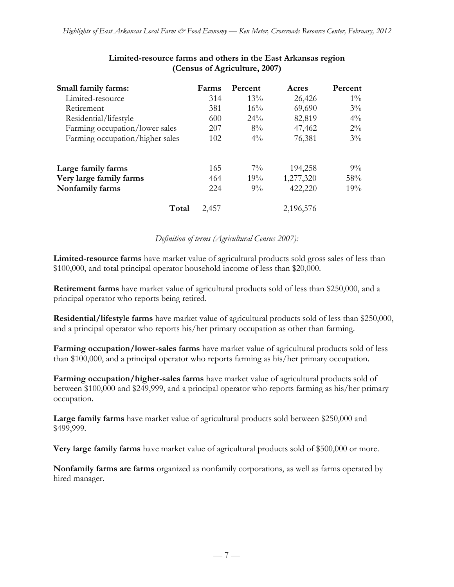| Small family farms:             | Farms | Percent | Acres     | Percent |
|---------------------------------|-------|---------|-----------|---------|
| Limited-resource                | 314   | $13\%$  | 26,426    | $1\%$   |
| Retirement                      | 381   | 16%     | 69,690    | $3\%$   |
| Residential/lifestyle           | 600   | $24\%$  | 82,819    | $4\%$   |
| Farming occupation/lower sales  | 207   | $8\%$   | 47,462    | $2\%$   |
| Farming occupation/higher sales | 102   | $4\%$   | 76,381    | $3\%$   |
| Large family farms              | 165   | $7\%$   | 194,258   | $9\%$   |
| Very large family farms         | 464   | 19%     | 1,277,320 | 58%     |
| Nonfamily farms                 | 224   | $9\%$   | 422,220   | 19%     |
| Total                           | 2,457 |         | 2,196,576 |         |

# **Limited-resource farms and others in the East Arkansas region (Census of Agriculture, 2007)**

## *Definition of terms (Agricultural Census 2007):*

**Limited-resource farms** have market value of agricultural products sold gross sales of less than \$100,000, and total principal operator household income of less than \$20,000.

**Retirement farms** have market value of agricultural products sold of less than \$250,000, and a principal operator who reports being retired.

**Residential/lifestyle farms** have market value of agricultural products sold of less than \$250,000, and a principal operator who reports his/her primary occupation as other than farming.

**Farming occupation/lower-sales farms** have market value of agricultural products sold of less than \$100,000, and a principal operator who reports farming as his/her primary occupation.

**Farming occupation/higher-sales farms** have market value of agricultural products sold of between \$100,000 and \$249,999, and a principal operator who reports farming as his/her primary occupation.

**Large family farms** have market value of agricultural products sold between \$250,000 and \$499,999.

**Very large family farms** have market value of agricultural products sold of \$500,000 or more.

**Nonfamily farms are farms** organized as nonfamily corporations, as well as farms operated by hired manager.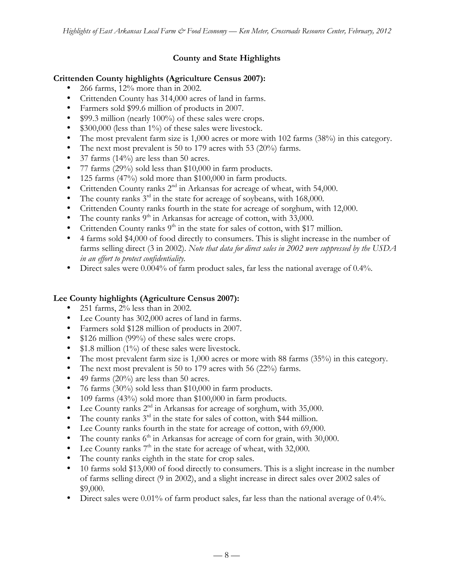# **County and State Highlights**

## **Crittenden County highlights (Agriculture Census 2007):**

- 266 farms, 12% more than in 2002.
- Crittenden County has 314,000 acres of land in farms.
- Farmers sold \$99.6 million of products in 2007.
- \$99.3 million (nearly 100%) of these sales were crops.
- \$300,000 (less than 1%) of these sales were livestock.
- The most prevalent farm size is 1,000 acres or more with 102 farms (38%) in this category.
- The next most prevalent is 50 to 179 acres with 53 (20%) farms.
- 37 farms  $(14\%)$  are less than 50 acres.
- 77 farms (29%) sold less than \$10,000 in farm products.
- 125 farms (47%) sold more than \$100,000 in farm products.
- Crittenden County ranks  $2<sup>nd</sup>$  in Arkansas for acreage of wheat, with 54,000.
- The county ranks  $3<sup>rd</sup>$  in the state for acreage of soybeans, with 168,000.
- Crittenden County ranks fourth in the state for acreage of sorghum, with 12,000.
- The county ranks  $9<sup>th</sup>$  in Arkansas for acreage of cotton, with 33,000.
- Crittenden County ranks  $9<sup>th</sup>$  in the state for sales of cotton, with \$17 million.
- 4 farms sold \$4,000 of food directly to consumers. This is slight increase in the number of farms selling direct (3 in 2002). *Note that data for direct sales in 2002 were suppressed by the USDA in an effort to protect confidentiality.*
- Direct sales were 0.004% of farm product sales, far less the national average of 0.4%.

# **Lee County highlights (Agriculture Census 2007):**

- 251 farms, 2% less than in 2002.
- Lee County has 302,000 acres of land in farms.
- Farmers sold \$128 million of products in 2007.
- \$126 million (99%) of these sales were crops.
- \$1.8 million (1%) of these sales were livestock.
- The most prevalent farm size is 1,000 acres or more with 88 farms (35%) in this category.
- The next most prevalent is 50 to 179 acres with 56 (22%) farms.
- 49 farms (20%) are less than 50 acres.
- 76 farms (30%) sold less than \$10,000 in farm products.
- 109 farms (43%) sold more than \$100,000 in farm products.
- Lee County ranks  $2<sup>nd</sup>$  in Arkansas for acreage of sorghum, with 35,000.
- The county ranks  $3^{rd}$  in the state for sales of cotton, with \$44 million.
- Lee County ranks fourth in the state for acreage of cotton, with 69,000.
- The county ranks  $6<sup>th</sup>$  in Arkansas for acreage of corn for grain, with 30,000.
- Lee County ranks  $7<sup>th</sup>$  in the state for acreage of wheat, with 32,000.
- The county ranks eighth in the state for crop sales.
- 10 farms sold \$13,000 of food directly to consumers. This is a slight increase in the number of farms selling direct (9 in 2002), and a slight increase in direct sales over 2002 sales of \$9,000.
- Direct sales were 0.01% of farm product sales, far less than the national average of 0.4%.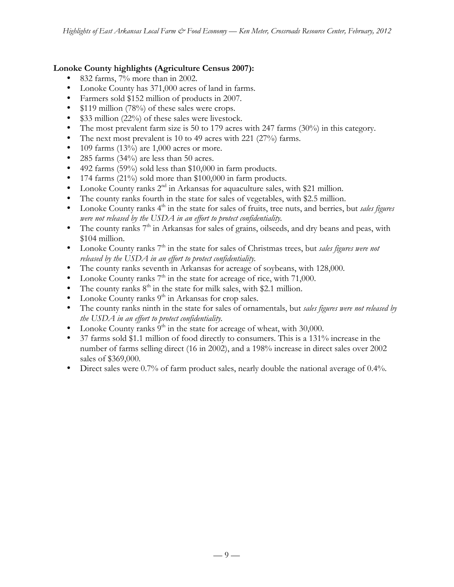# **Lonoke County highlights (Agriculture Census 2007):**

- 832 farms, 7% more than in 2002.
- Lonoke County has 371,000 acres of land in farms.
- Farmers sold \$152 million of products in 2007.
- \$119 million (78%) of these sales were crops.
- \$33 million (22%) of these sales were livestock.
- The most prevalent farm size is 50 to 179 acres with 247 farms (30%) in this category.
- The next most prevalent is 10 to 49 acres with 221 (27%) farms.
- 109 farms  $(13\%)$  are 1,000 acres or more.
- 285 farms (34%) are less than 50 acres.
- 492 farms (59%) sold less than \$10,000 in farm products.
- 174 farms (21%) sold more than \$100,000 in farm products.
- Lonoke County ranks 2<sup>nd</sup> in Arkansas for aquaculture sales, with \$21 million.
- The county ranks fourth in the state for sales of vegetables, with \$2.5 million.
- Lonoke County ranks 4<sup>th</sup> in the state for sales of fruits, tree nuts, and berries, but *sales figures were not released by the USDA in an effort to protect confidentiality.*
- The county ranks 7<sup>th</sup> in Arkansas for sales of grains, oilseeds, and dry beans and peas, with \$104 million.
- Lonoke County ranks 7<sup>th</sup> in the state for sales of Christmas trees, but *sales figures were not released by the USDA in an effort to protect confidentiality.*
- The county ranks seventh in Arkansas for acreage of soybeans, with 128,000.
- Lonoke County ranks  $7<sup>th</sup>$  in the state for acreage of rice, with 71,000.
- The county ranks  $8<sup>th</sup>$  in the state for milk sales, with \$2.1 million.
- Lonoke County ranks  $9<sup>th</sup>$  in Arkansas for crop sales.
- The county ranks ninth in the state for sales of ornamentals, but *sales figures were not released by the USDA in an effort to protect confidentiality.*
- Lonoke County ranks  $9<sup>th</sup>$  in the state for acreage of wheat, with 30,000.
- 37 farms sold \$1.1 million of food directly to consumers. This is a 131% increase in the number of farms selling direct (16 in 2002), and a 198% increase in direct sales over 2002 sales of \$369,000.
- Direct sales were 0.7% of farm product sales, nearly double the national average of 0.4%.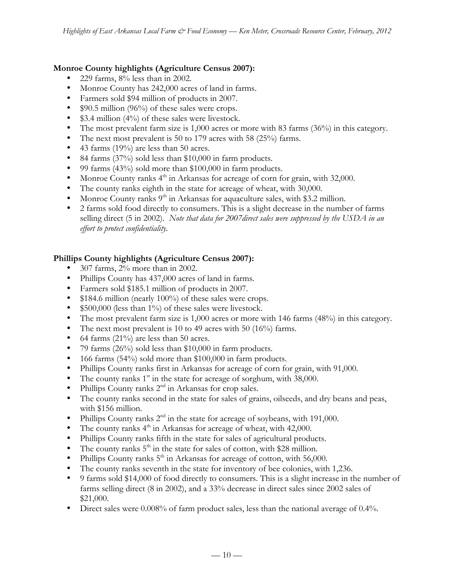# **Monroe County highlights (Agriculture Census 2007):**

- 229 farms,  $8\%$  less than in 2002.
- Monroe County has 242,000 acres of land in farms.
- Farmers sold \$94 million of products in 2007.
- \$90.5 million (96%) of these sales were crops.
- \$3.4 million (4%) of these sales were livestock.
- The most prevalent farm size is 1,000 acres or more with 83 farms (36%) in this category.
- The next most prevalent is 50 to 179 acres with 58 (25%) farms.
- 43 farms (19%) are less than 50 acres.
- 84 farms (37%) sold less than \$10,000 in farm products.
- 99 farms (43%) sold more than \$100,000 in farm products.
- Monroe County ranks  $4<sup>th</sup>$  in Arkansas for acreage of corn for grain, with 32,000.
- The county ranks eighth in the state for acreage of wheat, with 30,000.
- Monroe County ranks  $9<sup>th</sup>$  in Arkansas for aquaculture sales, with \$3.2 million.
- 2 farms sold food directly to consumers. This is a slight decrease in the number of farms selling direct (5 in 2002). *Note that data for 2007direct sales were suppressed by the USDA in an effort to protect confidentiality.*

# **Phillips County highlights (Agriculture Census 2007):**

- 307 farms, 2% more than in 2002.
- Phillips County has 437,000 acres of land in farms.
- Farmers sold \$185.1 million of products in 2007.
- \$184.6 million (nearly 100%) of these sales were crops.
- \$500,000 (less than 1%) of these sales were livestock.
- The most prevalent farm size is 1,000 acres or more with 146 farms (48%) in this category.
- The next most prevalent is 10 to 49 acres with 50 (16%) farms.
- 64 farms  $(21\%)$  are less than 50 acres.
- 79 farms (26%) sold less than \$10,000 in farm products.
- 166 farms (54%) sold more than \$100,000 in farm products.
- Phillips County ranks first in Arkansas for acreage of corn for grain, with 91,000.
- The county ranks  $1<sup>st</sup>$  in the state for acreage of sorghum, with 38,000.
- Phillips County ranks  $2<sup>nd</sup>$  in Arkansas for crop sales.
- The county ranks second in the state for sales of grains, oilseeds, and dry beans and peas, with \$156 million.
- Phillips County ranks  $2<sup>nd</sup>$  in the state for acreage of soybeans, with 191,000.
- The county ranks  $4<sup>th</sup>$  in Arkansas for acreage of wheat, with 42,000.
- Phillips County ranks fifth in the state for sales of agricultural products.
- The county ranks  $5<sup>th</sup>$  in the state for sales of cotton, with \$28 million.
- Phillips County ranks  $5<sup>th</sup>$  in Arkansas for acreage of cotton, with 56,000.
- The county ranks seventh in the state for inventory of bee colonies, with 1,236.
- 9 farms sold \$14,000 of food directly to consumers. This is a slight increase in the number of farms selling direct (8 in 2002), and a 33% decrease in direct sales since 2002 sales of \$21,000.
- Direct sales were 0.008% of farm product sales, less than the national average of 0.4%.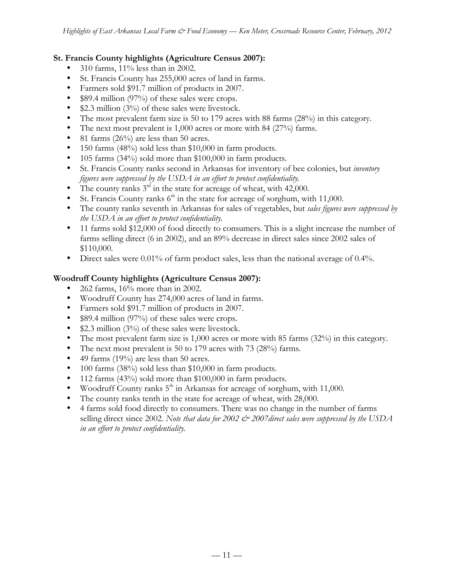## **St. Francis County highlights (Agriculture Census 2007):**

- 310 farms, 11% less than in 2002.
- St. Francis County has 255,000 acres of land in farms.
- Farmers sold \$91.7 million of products in 2007.
- \$89.4 million (97%) of these sales were crops.
- \$2.3 million (3%) of these sales were livestock.
- The most prevalent farm size is 50 to 179 acres with 88 farms (28%) in this category.
- The next most prevalent is 1,000 acres or more with 84 (27%) farms.
- 81 farms  $(26\%)$  are less than 50 acres.
- 150 farms (48%) sold less than \$10,000 in farm products.
- 105 farms (34%) sold more than \$100,000 in farm products.
- St. Francis County ranks second in Arkansas for inventory of bee colonies, but *inventory figures were suppressed by the USDA in an effort to protect confidentiality.*
- The county ranks  $3<sup>rd</sup>$  in the state for acreage of wheat, with 42,000.
- St. Francis County ranks  $6<sup>th</sup>$  in the state for acreage of sorghum, with 11,000.
- The county ranks seventh in Arkansas for sales of vegetables, but *sales figures were suppressed by the USDA in an effort to protect confidentiality.*
- 11 farms sold \$12,000 of food directly to consumers. This is a slight increase the number of farms selling direct (6 in 2002), and an 89% decrease in direct sales since 2002 sales of \$110,000.
- Direct sales were 0.01% of farm product sales, less than the national average of 0.4%.

# **Woodruff County highlights (Agriculture Census 2007):**

- 262 farms, 16% more than in 2002.
- Woodruff County has 274,000 acres of land in farms.
- Farmers sold \$91.7 million of products in 2007.
- \$89.4 million (97%) of these sales were crops.
- \$2.3 million (3%) of these sales were livestock.
- The most prevalent farm size is 1,000 acres or more with 85 farms (32%) in this category.
- The next most prevalent is 50 to 179 acres with 73 (28%) farms.
- 49 farms (19%) are less than 50 acres.
- 100 farms (38%) sold less than \$10,000 in farm products.
- 112 farms (43%) sold more than \$100,000 in farm products.
- Woodruff County ranks  $5<sup>th</sup>$  in Arkansas for acreage of sorghum, with 11,000.
- The county ranks tenth in the state for acreage of wheat, with 28,000.
- 4 farms sold food directly to consumers. There was no change in the number of farms selling direct since 2002. *Note that data for 2002 & 2007direct sales were suppressed by the USDA in an effort to protect confidentiality.*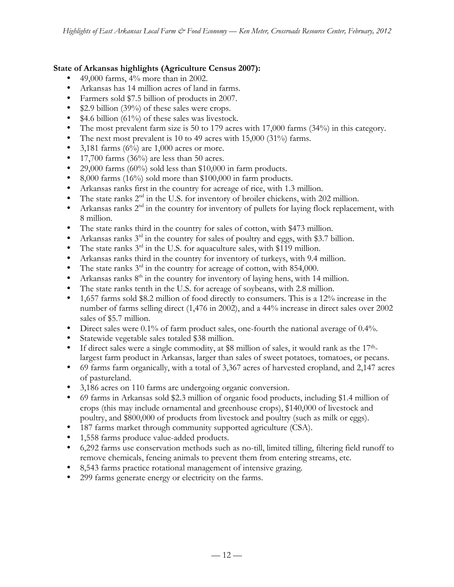## **State of Arkansas highlights (Agriculture Census 2007):**

- 49,000 farms,  $4\%$  more than in 2002.
- Arkansas has 14 million acres of land in farms.
- Farmers sold \$7.5 billion of products in 2007.
- \$2.9 billion (39%) of these sales were crops.
- \$4.6 billion (61%) of these sales was livestock.
- The most prevalent farm size is 50 to 179 acres with 17,000 farms (34%) in this category.
- The next most prevalent is 10 to 49 acres with 15,000 (31%) farms.
- 3,181 farms  $(6\%)$  are 1,000 acres or more.
- 17,700 farms  $(36\%)$  are less than 50 acres.
- 29,000 farms  $(60\%)$  sold less than \$10,000 in farm products.
- 8,000 farms (16%) sold more than \$100,000 in farm products.
- Arkansas ranks first in the country for acreage of rice, with 1.3 million.
- The state ranks  $2<sup>nd</sup>$  in the U.S. for inventory of broiler chickens, with 202 million.
- Arkansas ranks  $2<sup>nd</sup>$  in the country for inventory of pullets for laying flock replacement, with 8 million.
- The state ranks third in the country for sales of cotton, with \$473 million.
- Arkansas ranks  $3<sup>rd</sup>$  in the country for sales of poultry and eggs, with \$3.7 billion.
- The state ranks  $3^{rd}$  in the U.S. for aquaculture sales, with \$119 million.
- Arkansas ranks third in the country for inventory of turkeys, with 9.4 million.
- The state ranks  $3<sup>rd</sup>$  in the country for acreage of cotton, with 854,000.
- Arkansas ranks  $8<sup>th</sup>$  in the country for inventory of laying hens, with 14 million.
- The state ranks tenth in the U.S. for acreage of soybeans, with 2.8 million.
- 1,657 farms sold \$8.2 million of food directly to consumers. This is a 12% increase in the number of farms selling direct (1,476 in 2002), and a 44% increase in direct sales over 2002 sales of \$5.7 million.
- Direct sales were 0.1% of farm product sales, one-fourth the national average of 0.4%.
- Statewide vegetable sales totaled \$38 million.
- If direct sales were a single commodity, at \$8 million of sales, it would rank as the 17<sup>th</sup>largest farm product in Arkansas, larger than sales of sweet potatoes, tomatoes, or pecans.
- 69 farms farm organically, with a total of 3,367 acres of harvested cropland, and 2,147 acres of pastureland.
- 3,186 acres on 110 farms are undergoing organic conversion.
- 69 farms in Arkansas sold \$2.3 million of organic food products, including \$1.4 million of crops (this may include ornamental and greenhouse crops), \$140,000 of livestock and poultry, and \$800,000 of products from livestock and poultry (such as milk or eggs).
- 187 farms market through community supported agriculture (CSA).
- 1,558 farms produce value-added products.
- 6,292 farms use conservation methods such as no-till, limited tilling, filtering field runoff to remove chemicals, fencing animals to prevent them from entering streams, etc.
- 8,543 farms practice rotational management of intensive grazing.
- 299 farms generate energy or electricity on the farms.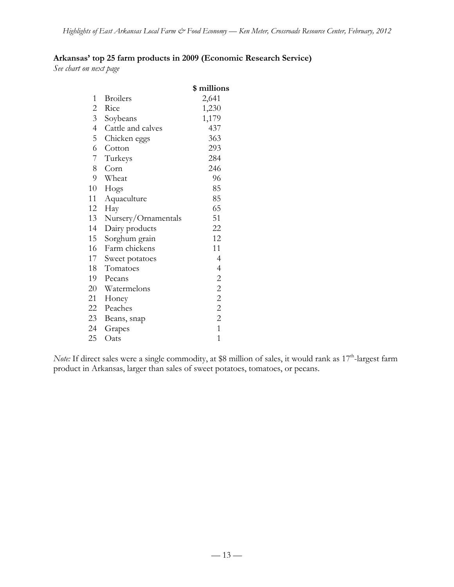# **Arkansas' top 25 farm products in 2009 (Economic Research Service)**

*See chart on next page*

|                |                     | \$ millions    |
|----------------|---------------------|----------------|
| 1              | <b>Broilers</b>     | 2,641          |
| $\overline{2}$ | Rice                | 1,230          |
| $\overline{3}$ | Soybeans            | 1,179          |
| $\overline{4}$ | Cattle and calves   | 437            |
| 5              | Chicken eggs        | 363            |
| 6              | Cotton              | 293            |
| 7 <sup>7</sup> | Turkeys             | 284            |
| 8              | Corn                | 246            |
| 9              | Wheat               | 96             |
| 10             | Hogs                | 85             |
| 11             | Aquaculture         | 85             |
| 12             | Hay                 | 65             |
| 13             | Nursery/Ornamentals | 51             |
| 14             | Dairy products      | 22             |
| 15             | Sorghum grain       | 12             |
| 16             | Farm chickens       | 11             |
| 17             | Sweet potatoes      | 4              |
| 18             | Tomatoes            | 4              |
| 19             | Pecans              | $\overline{c}$ |
| 20             | Watermelons         | $\overline{c}$ |
| 21             | Honey               | $\overline{c}$ |
| 22             | Peaches             | $\overline{c}$ |
| 23             | Beans, snap         | $\overline{c}$ |
| 24             | Grapes              | $\overline{1}$ |
| 25             | Oats                | 1              |

*Note:* If direct sales were a single commodity, at \$8 million of sales, it would rank as 17<sup>th</sup>-largest farm product in Arkansas, larger than sales of sweet potatoes, tomatoes, or pecans.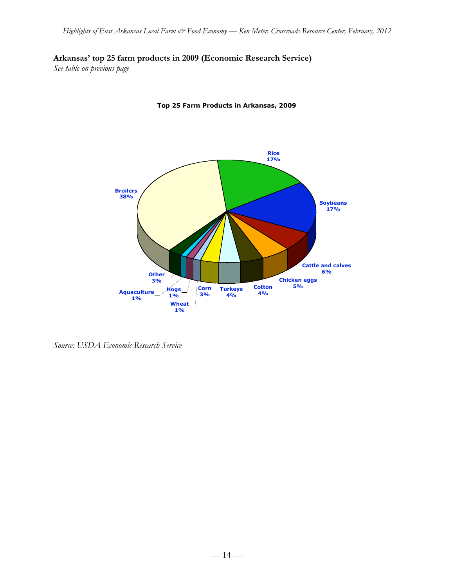# **Arkansas' top 25 farm products in 2009 (Economic Research Service)**

*See table on previous page*



**Top 25 Farm Products in Arkansas, 2009**

*Source: USDA Economic Research Service*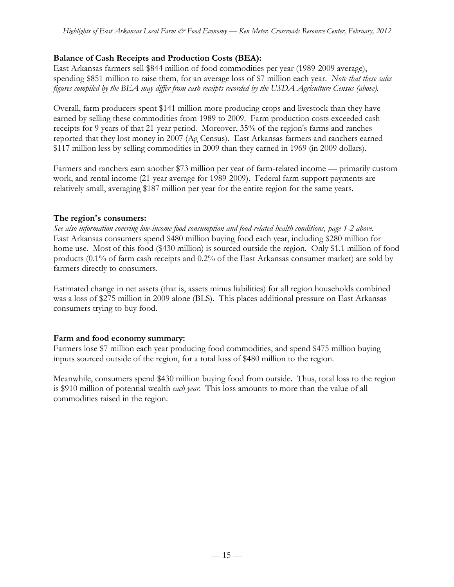# **Balance of Cash Receipts and Production Costs (BEA):**

East Arkansas farmers sell \$844 million of food commodities per year (1989-2009 average), spending \$851 million to raise them, for an average loss of \$7 million each year. *Note that these sales figures compiled by the BEA may differ from cash receipts recorded by the USDA Agriculture Census (above).*

Overall, farm producers spent \$141 million more producing crops and livestock than they have earned by selling these commodities from 1989 to 2009. Farm production costs exceeded cash receipts for 9 years of that 21-year period. Moreover, 35% of the region's farms and ranches reported that they lost money in 2007 (Ag Census). East Arkansas farmers and ranchers earned \$117 million less by selling commodities in 2009 than they earned in 1969 (in 2009 dollars).

Farmers and ranchers earn another \$73 million per year of farm-related income — primarily custom work, and rental income (21-year average for 1989-2009). Federal farm support payments are relatively small, averaging \$187 million per year for the entire region for the same years.

## **The region's consumers:**

*See also information covering low-income food consumption and food-related health conditions, page 1-2 above.* East Arkansas consumers spend \$480 million buying food each year, including \$280 million for home use. Most of this food (\$430 million) is sourced outside the region. Only \$1.1 million of food products (0.1% of farm cash receipts and 0.2% of the East Arkansas consumer market) are sold by farmers directly to consumers.

Estimated change in net assets (that is, assets minus liabilities) for all region households combined was a loss of \$275 million in 2009 alone (BLS). This places additional pressure on East Arkansas consumers trying to buy food.

## **Farm and food economy summary:**

Farmers lose \$7 million each year producing food commodities, and spend \$475 million buying inputs sourced outside of the region, for a total loss of \$480 million to the region.

Meanwhile, consumers spend \$430 million buying food from outside. Thus, total loss to the region is \$910 million of potential wealth *each year*. This loss amounts to more than the value of all commodities raised in the region.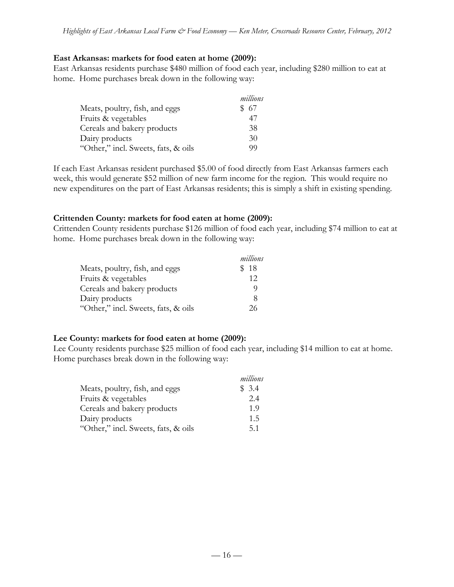## **East Arkansas: markets for food eaten at home (2009):**

East Arkansas residents purchase \$480 million of food each year, including \$280 million to eat at home. Home purchases break down in the following way:

|                                     | millions |
|-------------------------------------|----------|
| Meats, poultry, fish, and eggs      | \$67     |
| Fruits & vegetables                 | 4/       |
| Cereals and bakery products         | 38       |
| Dairy products                      | 30       |
| "Other," incl. Sweets, fats, & oils | 99       |

If each East Arkansas resident purchased \$5.00 of food directly from East Arkansas farmers each week, this would generate \$52 million of new farm income for the region. This would require no new expenditures on the part of East Arkansas residents; this is simply a shift in existing spending.

# **Crittenden County: markets for food eaten at home (2009):**

Crittenden County residents purchase \$126 million of food each year, including \$74 million to eat at home. Home purchases break down in the following way:

|                                     | millions |
|-------------------------------------|----------|
| Meats, poultry, fish, and eggs      | \$18     |
| Fruits & vegetables                 | 12       |
| Cereals and bakery products         |          |
| Dairy products                      | 8        |
| "Other," incl. Sweets, fats, & oils | 26       |

## **Lee County: markets for food eaten at home (2009):**

Lee County residents purchase \$25 million of food each year, including \$14 million to eat at home. Home purchases break down in the following way:

|                                     | millions |
|-------------------------------------|----------|
| Meats, poultry, fish, and eggs      | \$3.4    |
| Fruits & vegetables                 | 2.4      |
| Cereals and bakery products         | 1.9      |
| Dairy products                      | 1.5      |
| "Other," incl. Sweets, fats, & oils | 5.1      |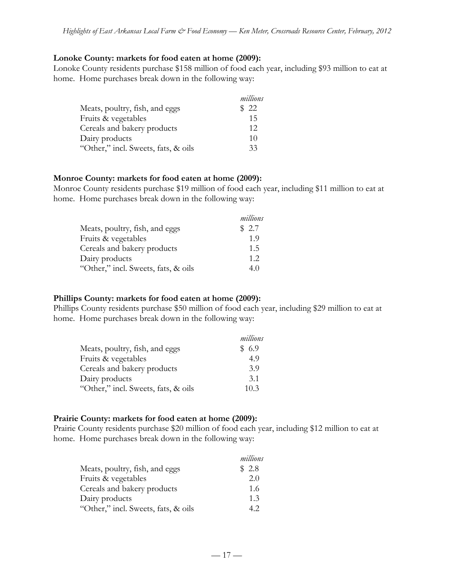### **Lonoke County: markets for food eaten at home (2009):**

Lonoke County residents purchase \$158 million of food each year, including \$93 million to eat at home. Home purchases break down in the following way:

|                                     | millions |
|-------------------------------------|----------|
| Meats, poultry, fish, and eggs      | \$22     |
| Fruits & vegetables                 | 15       |
| Cereals and bakery products         | 12       |
| Dairy products                      | 10       |
| "Other," incl. Sweets, fats, & oils | 33       |

### **Monroe County: markets for food eaten at home (2009):**

Monroe County residents purchase \$19 million of food each year, including \$11 million to eat at home. Home purchases break down in the following way:

|                                     | millions |
|-------------------------------------|----------|
| Meats, poultry, fish, and eggs      | \$2.7    |
| Fruits & vegetables                 | 1.9      |
| Cereals and bakery products         | 1.5      |
| Dairy products                      | 1.2      |
| "Other," incl. Sweets, fats, & oils | 4.0      |

## **Phillips County: markets for food eaten at home (2009):**

Phillips County residents purchase \$50 million of food each year, including \$29 million to eat at home. Home purchases break down in the following way:

|                                     | millions |
|-------------------------------------|----------|
| Meats, poultry, fish, and eggs      | \$6.9    |
| Fruits & vegetables                 | 4.9      |
| Cereals and bakery products         | 3.9      |
| Dairy products                      | 3.1      |
| "Other," incl. Sweets, fats, & oils | 10.3     |

## **Prairie County: markets for food eaten at home (2009):**

Prairie County residents purchase \$20 million of food each year, including \$12 million to eat at home. Home purchases break down in the following way:

|                                     | millions |
|-------------------------------------|----------|
| Meats, poultry, fish, and eggs      | \$2.8    |
| Fruits & vegetables                 | 2.0      |
| Cereals and bakery products         | 1.6      |
| Dairy products                      | 1.3      |
| "Other," incl. Sweets, fats, & oils | 42       |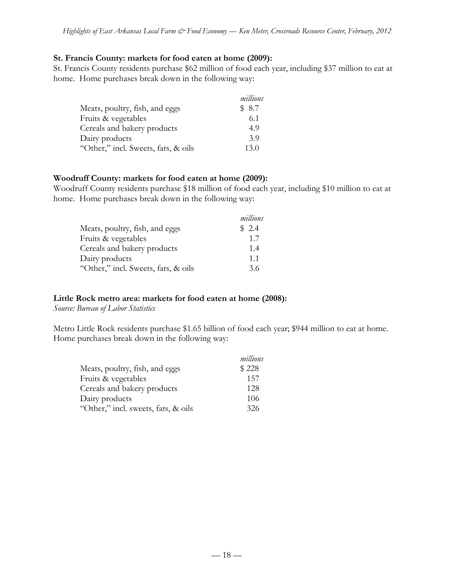### **St. Francis County: markets for food eaten at home (2009):**

St. Francis County residents purchase \$62 million of food each year, including \$37 million to eat at home. Home purchases break down in the following way:

|                                     | millions |
|-------------------------------------|----------|
| Meats, poultry, fish, and eggs      | \$8.7    |
| Fruits & vegetables                 | 6.1      |
| Cereals and bakery products         | 4.9      |
| Dairy products                      | 3.9      |
| "Other," incl. Sweets, fats, & oils | 13.0     |

### **Woodruff County: markets for food eaten at home (2009):**

Woodruff County residents purchase \$18 million of food each year, including \$10 million to eat at home. Home purchases break down in the following way:

|                                     | millions |
|-------------------------------------|----------|
| Meats, poultry, fish, and eggs      | \$2.4    |
| Fruits & vegetables                 | 1.7      |
| Cereals and bakery products         | 1.4      |
| Dairy products                      | 1.1      |
| "Other," incl. Sweets, fats, & oils | 3.6      |

### **Little Rock metro area: markets for food eaten at home (2008):**

*Source: Bureau of Labor Statistics*

Metro Little Rock residents purchase \$1.65 billion of food each year; \$944 million to eat at home. Home purchases break down in the following way:

|                                     | millions |
|-------------------------------------|----------|
| Meats, poultry, fish, and eggs      | \$228    |
| Fruits & vegetables                 | 157      |
| Cereals and bakery products         | 128      |
| Dairy products                      | 106      |
| "Other," incl. sweets, fats, & oils | 326      |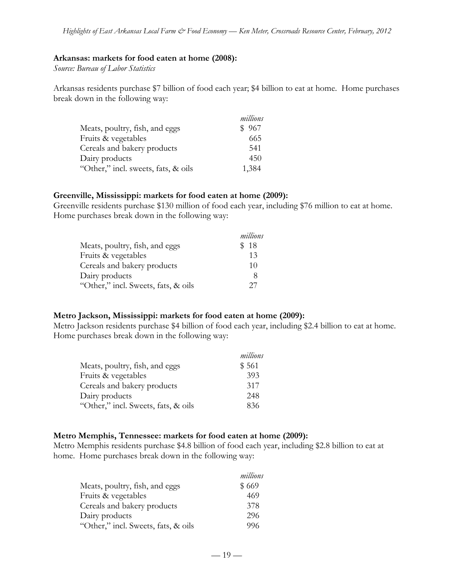### **Arkansas: markets for food eaten at home (2008):**

*Source: Bureau of Labor Statistics*

Arkansas residents purchase \$7 billion of food each year; \$4 billion to eat at home. Home purchases break down in the following way:

|                                     | millions |
|-------------------------------------|----------|
| Meats, poultry, fish, and eggs      | \$967    |
| Fruits & vegetables                 | 665      |
| Cereals and bakery products         | 541      |
| Dairy products                      | 450      |
| "Other," incl. sweets, fats, & oils | 1,384    |

#### **Greenville, Mississippi: markets for food eaten at home (2009):**

Greenville residents purchase \$130 million of food each year, including \$76 million to eat at home. Home purchases break down in the following way:

|                                     | millions |
|-------------------------------------|----------|
| Meats, poultry, fish, and eggs      | \$18     |
| Fruits & vegetables                 | 13       |
| Cereals and bakery products         | 10       |
| Dairy products                      | 8        |
| "Other," incl. Sweets, fats, & oils | 27       |

### **Metro Jackson, Mississippi: markets for food eaten at home (2009):**

Metro Jackson residents purchase \$4 billion of food each year, including \$2.4 billion to eat at home. Home purchases break down in the following way:

| millions |
|----------|
| \$561    |
| 393      |
| 317      |
| 248      |
| 836      |
|          |

### **Metro Memphis, Tennessee: markets for food eaten at home (2009):**

Metro Memphis residents purchase \$4.8 billion of food each year, including \$2.8 billion to eat at home. Home purchases break down in the following way:

|                                     | millions |
|-------------------------------------|----------|
| Meats, poultry, fish, and eggs      | \$669    |
| Fruits & vegetables                 | 469      |
| Cereals and bakery products         | 378      |
| Dairy products                      | 296      |
| "Other," incl. Sweets, fats, & oils | 996      |